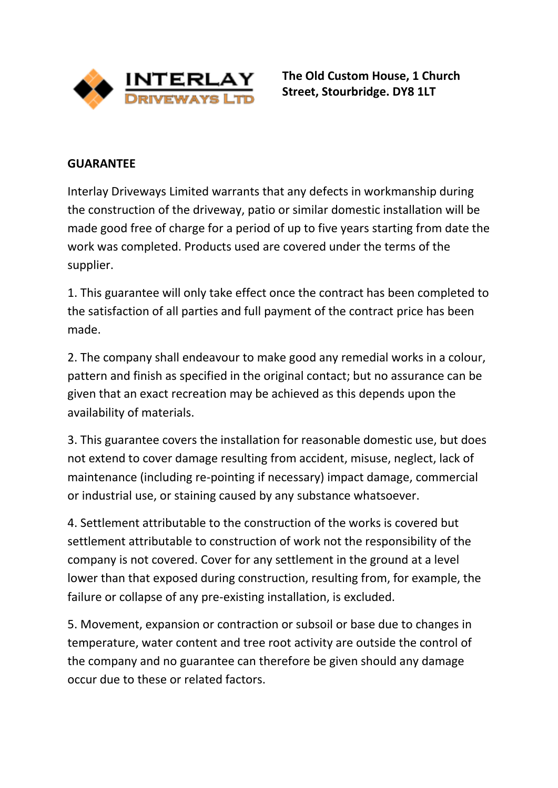

**The Old Custom House, 1 Church Street, Stourbridge. DY8 1LT**

## **GUARANTEE**

Interlay Driveways Limited warrants that any defects in workmanship during the construction of the driveway, patio or similar domestic installation will be made good free of charge for a period of up to five years starting from date the work was completed. Products used are covered under the terms of the supplier.

1. This guarantee will only take effect once the contract has been completed to the satisfaction of all parties and full payment of the contract price has been made.

2. The company shall endeavour to make good any remedial works in a colour, pattern and finish as specified in the original contact; but no assurance can be given that an exact recreation may be achieved as this depends upon the availability of materials.

3. This guarantee covers the installation for reasonable domestic use, but does not extend to cover damage resulting from accident, misuse, neglect, lack of maintenance (including re-pointing if necessary) impact damage, commercial or industrial use, or staining caused by any substance whatsoever.

4. Settlement attributable to the construction of the works is covered but settlement attributable to construction of work not the responsibility of the company is not covered. Cover for any settlement in the ground at a level lower than that exposed during construction, resulting from, for example, the failure or collapse of any pre-existing installation, is excluded.

5. Movement, expansion or contraction or subsoil or base due to changes in temperature, water content and tree root activity are outside the control of the company and no guarantee can therefore be given should any damage occur due to these or related factors.